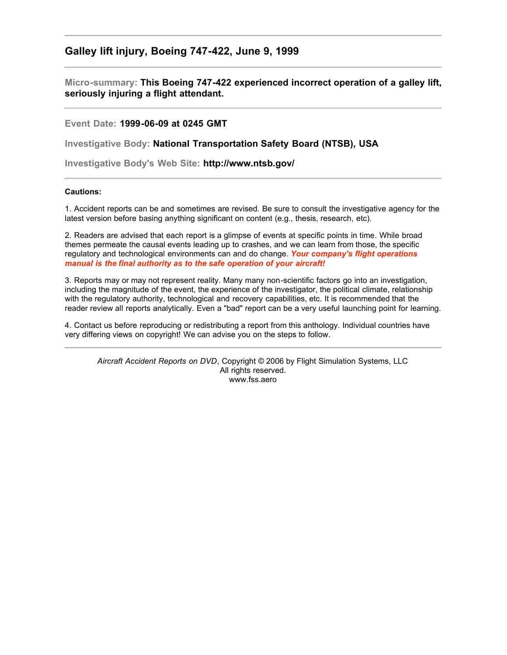## **Galley lift injury, Boeing 747-422, June 9, 1999**

**Micro-summary: This Boeing 747-422 experienced incorrect operation of a galley lift, seriously injuring a flight attendant.**

## **Event Date: 1999-06-09 at 0245 GMT**

**Investigative Body: National Transportation Safety Board (NTSB), USA**

**Investigative Body's Web Site: http://www.ntsb.gov/**

## **Cautions:**

1. Accident reports can be and sometimes are revised. Be sure to consult the investigative agency for the latest version before basing anything significant on content (e.g., thesis, research, etc).

2. Readers are advised that each report is a glimpse of events at specific points in time. While broad themes permeate the causal events leading up to crashes, and we can learn from those, the specific regulatory and technological environments can and do change. *Your company's flight operations manual is the final authority as to the safe operation of your aircraft!*

3. Reports may or may not represent reality. Many many non-scientific factors go into an investigation, including the magnitude of the event, the experience of the investigator, the political climate, relationship with the regulatory authority, technological and recovery capabilities, etc. It is recommended that the reader review all reports analytically. Even a "bad" report can be a very useful launching point for learning.

4. Contact us before reproducing or redistributing a report from this anthology. Individual countries have very differing views on copyright! We can advise you on the steps to follow.

*Aircraft Accident Reports on DVD*, Copyright © 2006 by Flight Simulation Systems, LLC All rights reserved. www.fss.aero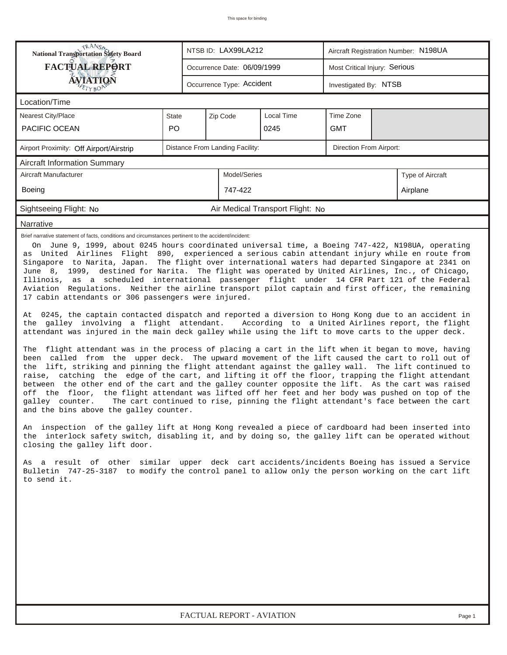| <b>National Transportation Safety Board</b><br>NTSB ID: LAX99LA212<br>Aircraft Registration Number: N198UA                                                                                                                                                                                                                                                                                                                                                                                                                                                                                                                                                                                                                                                                         |                                                              |  |                                 |                                  |                         |  |                                                                                  |  |  |
|------------------------------------------------------------------------------------------------------------------------------------------------------------------------------------------------------------------------------------------------------------------------------------------------------------------------------------------------------------------------------------------------------------------------------------------------------------------------------------------------------------------------------------------------------------------------------------------------------------------------------------------------------------------------------------------------------------------------------------------------------------------------------------|--------------------------------------------------------------|--|---------------------------------|----------------------------------|-------------------------|--|----------------------------------------------------------------------------------|--|--|
| <b>FACTUAL REPORT</b>                                                                                                                                                                                                                                                                                                                                                                                                                                                                                                                                                                                                                                                                                                                                                              | Most Critical Injury: Serious<br>Occurrence Date: 06/09/1999 |  |                                 |                                  |                         |  |                                                                                  |  |  |
| <b>ÁVIATION</b>                                                                                                                                                                                                                                                                                                                                                                                                                                                                                                                                                                                                                                                                                                                                                                    |                                                              |  | Occurrence Type: Accident       |                                  | Investigated By: NTSB   |  |                                                                                  |  |  |
| Location/Time                                                                                                                                                                                                                                                                                                                                                                                                                                                                                                                                                                                                                                                                                                                                                                      |                                                              |  |                                 |                                  |                         |  |                                                                                  |  |  |
| <b>Nearest City/Place</b>                                                                                                                                                                                                                                                                                                                                                                                                                                                                                                                                                                                                                                                                                                                                                          | <b>State</b>                                                 |  | Zip Code                        | Local Time                       | Time Zone               |  |                                                                                  |  |  |
| PACIFIC OCEAN                                                                                                                                                                                                                                                                                                                                                                                                                                                                                                                                                                                                                                                                                                                                                                      | PO                                                           |  |                                 | 0245                             | <b>GMT</b>              |  |                                                                                  |  |  |
| Airport Proximity: Off Airport/Airstrip                                                                                                                                                                                                                                                                                                                                                                                                                                                                                                                                                                                                                                                                                                                                            |                                                              |  | Distance From Landing Facility: |                                  | Direction From Airport: |  |                                                                                  |  |  |
| Aircraft Information Summary                                                                                                                                                                                                                                                                                                                                                                                                                                                                                                                                                                                                                                                                                                                                                       |                                                              |  |                                 |                                  |                         |  |                                                                                  |  |  |
| Aircraft Manufacturer                                                                                                                                                                                                                                                                                                                                                                                                                                                                                                                                                                                                                                                                                                                                                              |                                                              |  | Model/Series                    |                                  |                         |  | Type of Aircraft                                                                 |  |  |
| <b>Boeing</b>                                                                                                                                                                                                                                                                                                                                                                                                                                                                                                                                                                                                                                                                                                                                                                      |                                                              |  | 747-422                         |                                  |                         |  | Airplane                                                                         |  |  |
| Sightseeing Flight: No                                                                                                                                                                                                                                                                                                                                                                                                                                                                                                                                                                                                                                                                                                                                                             |                                                              |  |                                 | Air Medical Transport Flight: No |                         |  |                                                                                  |  |  |
| Narrative                                                                                                                                                                                                                                                                                                                                                                                                                                                                                                                                                                                                                                                                                                                                                                          |                                                              |  |                                 |                                  |                         |  |                                                                                  |  |  |
| On June 9, 1999, about 0245 hours coordinated universal time, a Boeing 747-422, N198UA, operating<br>as United Airlines Flight 890, experienced a serious cabin attendant injury while en route from<br>Singapore to Narita, Japan. The flight over international waters had departed Singapore at 2341 on<br>June 8, 1999, destined for Narita. The flight was operated by United Airlines, Inc., of Chicago,<br>Illinois, as a scheduled international passenger flight under 14 CFR Part 121 of the Federal<br>Aviation Regulations. Neither the airline transport pilot captain and first officer, the remaining<br>17 cabin attendants or 306 passengers were injured.<br>At 0245, the captain contacted dispatch and reported a diversion to Hong Kong due to an accident in |                                                              |  |                                 |                                  |                         |  |                                                                                  |  |  |
| the galley involving a flight attendant. According to a United Airlines report, the flight<br>attendant was injured in the main deck galley while using the lift to move carts to the upper deck.<br>The flight attendant was in the process of placing a cart in the lift when it began to move, having                                                                                                                                                                                                                                                                                                                                                                                                                                                                           |                                                              |  |                                 |                                  |                         |  |                                                                                  |  |  |
| been called from the upper deck. The upward movement of the lift caused the cart to roll out of<br>the lift, striking and pinning the flight attendant against the galley wall. The lift continued to<br>raise, catching the edge of the cart, and lifting it off the floor, trapping the flight attendant<br>between the other end of the cart and the galley counter opposite the lift. As the cart was raised<br>the floor, the flight attendant was lifted off her feet and her body was pushed on top of the<br>off<br>galley counter.<br>and the bins above the galley counter.                                                                                                                                                                                              |                                                              |  |                                 |                                  |                         |  | The cart continued to rise, pinning the flight attendant's face between the cart |  |  |
| inspection of the galley lift at Hong Kong revealed a piece of cardboard had been inserted into<br>An<br>the interlock safety switch, disabling it, and by doing so, the galley lift can be operated without<br>closing the galley lift door.                                                                                                                                                                                                                                                                                                                                                                                                                                                                                                                                      |                                                              |  |                                 |                                  |                         |  |                                                                                  |  |  |
| As a result of other similar upper deck cart accidents/incidents Boeing has issued a Service<br>Bulletin 747-25-3187 to modify the control panel to allow only the person working on the cart lift<br>to send it.                                                                                                                                                                                                                                                                                                                                                                                                                                                                                                                                                                  |                                                              |  |                                 |                                  |                         |  |                                                                                  |  |  |
|                                                                                                                                                                                                                                                                                                                                                                                                                                                                                                                                                                                                                                                                                                                                                                                    |                                                              |  |                                 |                                  |                         |  |                                                                                  |  |  |
| FACTUAL REPORT - AVIATION<br>Page 1                                                                                                                                                                                                                                                                                                                                                                                                                                                                                                                                                                                                                                                                                                                                                |                                                              |  |                                 |                                  |                         |  |                                                                                  |  |  |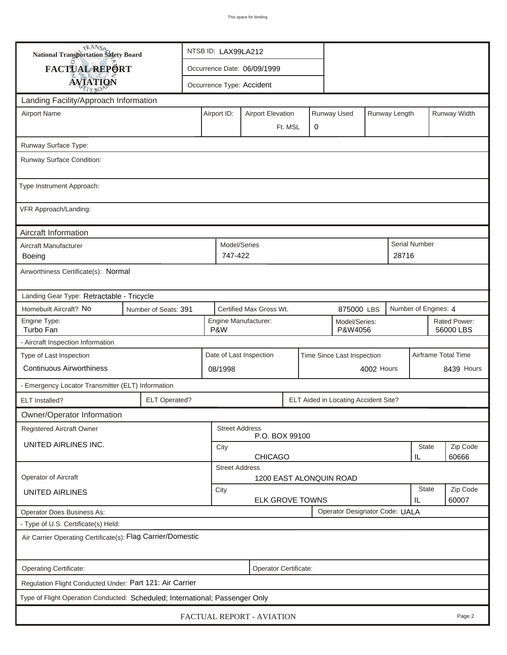| <b>National Transportation Safety Board</b>                                  |                                                                                       | NTSB ID: LAX99LA212                     |                                                       |                           |         |   |                                |  |               |                     |                           |
|------------------------------------------------------------------------------|---------------------------------------------------------------------------------------|-----------------------------------------|-------------------------------------------------------|---------------------------|---------|---|--------------------------------|--|---------------|---------------------|---------------------------|
| <b>FACTUAL REPORT</b>                                                        |                                                                                       | Occurrence Date: 06/09/1999             |                                                       |                           |         |   |                                |  |               |                     |                           |
| <b>AVIATION</b>                                                              |                                                                                       |                                         |                                                       | Occurrence Type: Accident |         |   |                                |  |               |                     |                           |
| Landing Facility/Approach Information                                        |                                                                                       |                                         |                                                       |                           |         |   |                                |  |               |                     |                           |
| <b>Airport Name</b>                                                          |                                                                                       |                                         | Airport ID:                                           | <b>Airport Elevation</b>  |         |   | Runway Used                    |  | Runway Length |                     | Runway Width              |
|                                                                              |                                                                                       |                                         |                                                       |                           | Ft. MSL | 0 |                                |  |               |                     |                           |
| Runway Surface Type:                                                         |                                                                                       |                                         |                                                       |                           |         |   |                                |  |               |                     |                           |
| Runway Surface Condition:                                                    |                                                                                       |                                         |                                                       |                           |         |   |                                |  |               |                     |                           |
| Type Instrument Approach:                                                    |                                                                                       |                                         |                                                       |                           |         |   |                                |  |               |                     |                           |
| VFR Approach/Landing:                                                        |                                                                                       |                                         |                                                       |                           |         |   |                                |  |               |                     |                           |
| Aircraft Information                                                         |                                                                                       |                                         |                                                       |                           |         |   |                                |  |               |                     |                           |
| Aircraft Manufacturer<br>Boeing                                              |                                                                                       |                                         | Model/Series<br>747-422                               |                           |         |   |                                |  | 28716         | Serial Number       |                           |
| Airworthiness Certificate(s): Normal                                         |                                                                                       |                                         |                                                       |                           |         |   |                                |  |               |                     |                           |
| Landing Gear Type: Retractable - Tricycle                                    |                                                                                       |                                         |                                                       |                           |         |   |                                |  |               |                     |                           |
| Homebuilt Aircraft? No                                                       | Certified Max Gross Wt.<br>Number of Engines: 4<br>Number of Seats: 391<br>875000 LBS |                                         |                                                       |                           |         |   |                                |  |               |                     |                           |
| Engine Type:<br>Turbo Fan                                                    |                                                                                       |                                         | P&W                                                   | Engine Manufacturer:      |         |   | Model/Series:<br>P&W4056       |  |               |                     | Rated Power:<br>56000 LBS |
| - Aircraft Inspection Information                                            |                                                                                       |                                         |                                                       |                           |         |   |                                |  |               |                     |                           |
| Type of Last Inspection                                                      |                                                                                       |                                         | Date of Last Inspection<br>Time Since Last Inspection |                           |         |   |                                |  |               | Airframe Total Time |                           |
| <b>Continuous Airworthiness</b>                                              |                                                                                       | 4002 Hours<br>08/1998                   |                                                       |                           |         |   |                                |  | 8439 Hours    |                     |                           |
| - Emergency Locator Transmitter (ELT) Information                            |                                                                                       |                                         |                                                       |                           |         |   |                                |  |               |                     |                           |
| ELT Installed?                                                               | <b>ELT Operated?</b>                                                                  | ELT Aided in Locating Accident Site?    |                                                       |                           |         |   |                                |  |               |                     |                           |
| Owner/Operator Information                                                   |                                                                                       |                                         |                                                       |                           |         |   |                                |  |               |                     |                           |
| <b>Registered Aircraft Owner</b>                                             |                                                                                       | <b>Street Address</b><br>P.O. BOX 99100 |                                                       |                           |         |   |                                |  |               |                     |                           |
| UNITED AIRLINES INC.                                                         |                                                                                       | City                                    |                                                       |                           |         |   |                                |  | <b>State</b>  | Zip Code            |                           |
|                                                                              |                                                                                       |                                         | <b>CHICAGO</b><br>IL<br><b>Street Address</b>         |                           |         |   |                                |  |               |                     | 60666                     |
| Operator of Aircraft<br><b>1200 EAST ALONQUIN ROAD</b>                       |                                                                                       |                                         |                                                       |                           |         |   |                                |  |               |                     |                           |
| <b>UNITED AIRLINES</b>                                                       |                                                                                       | City                                    | <b>ELK GROVE TOWNS</b>                                |                           |         |   |                                |  | State<br>IL   | Zip Code<br>60007   |                           |
| Operator Does Business As:                                                   |                                                                                       |                                         |                                                       |                           |         |   | Operator Designator Code: UALA |  |               |                     |                           |
| - Type of U.S. Certificate(s) Held:                                          |                                                                                       |                                         |                                                       |                           |         |   |                                |  |               |                     |                           |
| Air Carrier Operating Certificate(s): Flag Carrier/Domestic                  |                                                                                       |                                         |                                                       |                           |         |   |                                |  |               |                     |                           |
| Operating Certificate:                                                       |                                                                                       |                                         |                                                       | Operator Certificate:     |         |   |                                |  |               |                     |                           |
| Regulation Flight Conducted Under: Part 121: Air Carrier                     |                                                                                       |                                         |                                                       |                           |         |   |                                |  |               |                     |                           |
| Type of Flight Operation Conducted: Scheduled; International; Passenger Only |                                                                                       |                                         |                                                       |                           |         |   |                                |  |               |                     |                           |
| FACTUAL REPORT - AVIATION<br>Page 2                                          |                                                                                       |                                         |                                                       |                           |         |   |                                |  |               |                     |                           |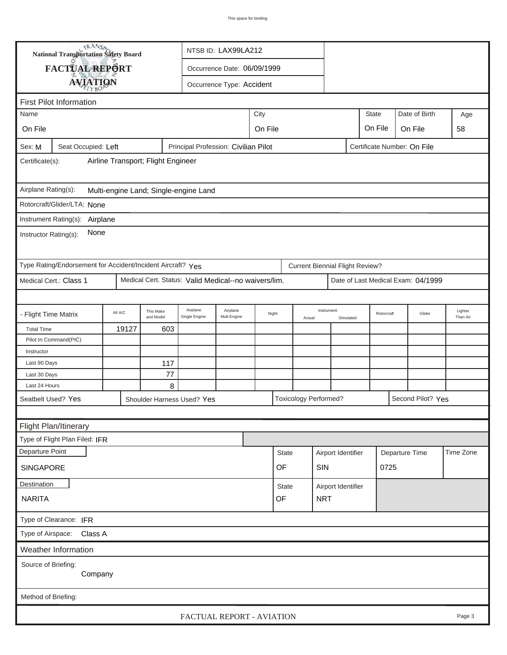|                                                                                                                      | TRANSO.<br>National Transportation Safety Board |                                    |                        |                                       | NTSB ID: LAX99LA212       |         |              |        |                                      |                    |                             |      |                   |                     |
|----------------------------------------------------------------------------------------------------------------------|-------------------------------------------------|------------------------------------|------------------------|---------------------------------------|---------------------------|---------|--------------|--------|--------------------------------------|--------------------|-----------------------------|------|-------------------|---------------------|
|                                                                                                                      | FACTUAL REPORT<br>Occurrence Date: 06/09/1999   |                                    |                        |                                       |                           |         |              |        |                                      |                    |                             |      |                   |                     |
|                                                                                                                      | <b>AVIATION</b>                                 |                                    |                        |                                       | Occurrence Type: Accident |         |              |        |                                      |                    |                             |      |                   |                     |
| <b>First Pilot Information</b>                                                                                       |                                                 |                                    |                        |                                       |                           |         |              |        |                                      |                    |                             |      |                   |                     |
|                                                                                                                      |                                                 |                                    |                        |                                       |                           |         |              |        |                                      |                    |                             |      |                   |                     |
| Name                                                                                                                 |                                                 |                                    |                        |                                       |                           | City    |              |        |                                      |                    | <b>State</b>                |      | Date of Birth     | Age                 |
| On File                                                                                                              |                                                 |                                    |                        |                                       |                           | On File |              |        |                                      |                    | On File                     |      | On File           | 58                  |
| Sex: M                                                                                                               | Seat Occupied: Left                             |                                    |                        | Principal Profession: Civilian Pilot  |                           |         |              |        |                                      |                    | Certificate Number: On File |      |                   |                     |
| Certificate(s):                                                                                                      |                                                 | Airline Transport; Flight Engineer |                        |                                       |                           |         |              |        |                                      |                    |                             |      |                   |                     |
| Airplane Rating(s):                                                                                                  |                                                 |                                    |                        | Multi-engine Land; Single-engine Land |                           |         |              |        |                                      |                    |                             |      |                   |                     |
|                                                                                                                      | Rotorcraft/Glider/LTA: None                     |                                    |                        |                                       |                           |         |              |        |                                      |                    |                             |      |                   |                     |
|                                                                                                                      | Instrument Rating(s): Airplane                  |                                    |                        |                                       |                           |         |              |        |                                      |                    |                             |      |                   |                     |
| Instructor Rating(s):                                                                                                | None                                            |                                    |                        |                                       |                           |         |              |        |                                      |                    |                             |      |                   |                     |
| Type Rating/Endorsement for Accident/Incident Aircraft? Yes<br><b>Current Biennial Flight Review?</b>                |                                                 |                                    |                        |                                       |                           |         |              |        |                                      |                    |                             |      |                   |                     |
| Medical Cert.: Class 1<br>Medical Cert. Status: Valid Medical--no waivers/lim.<br>Date of Last Medical Exam: 04/1999 |                                                 |                                    |                        |                                       |                           |         |              |        |                                      |                    |                             |      |                   |                     |
|                                                                                                                      |                                                 |                                    |                        |                                       |                           |         |              |        |                                      |                    |                             |      |                   |                     |
| - Flight Time Matrix                                                                                                 |                                                 | All A/C                            | This Make<br>and Model | Airplane<br>Single Engine             | Airplane<br>Mult-Engine   |         | Night        | Actual | Instrument                           | Simulated          | Rotorcraft                  |      | Glider            | Lighter<br>Than Air |
| <b>Total Time</b>                                                                                                    |                                                 | 19127                              | 603                    |                                       |                           |         |              |        |                                      |                    |                             |      |                   |                     |
|                                                                                                                      | Pilot In Command(PIC)                           |                                    |                        |                                       |                           |         |              |        |                                      |                    |                             |      |                   |                     |
| Instructor                                                                                                           |                                                 |                                    |                        |                                       |                           |         |              |        |                                      |                    |                             |      |                   |                     |
| Last 90 Days                                                                                                         |                                                 |                                    | 117                    |                                       |                           |         |              |        |                                      |                    |                             |      |                   |                     |
| Last 30 Days<br>Last 24 Hours                                                                                        |                                                 |                                    | 77                     |                                       |                           |         |              |        |                                      |                    |                             |      |                   |                     |
|                                                                                                                      |                                                 |                                    | 8                      |                                       |                           |         |              |        | <b>Toxicology Performed?</b>         |                    |                             |      | Second Pilot? Yes |                     |
| Seatbelt Used? Yes<br>Shoulder Harness Used? Yes                                                                     |                                                 |                                    |                        |                                       |                           |         |              |        |                                      |                    |                             |      |                   |                     |
| Flight Plan/Itinerary                                                                                                |                                                 |                                    |                        |                                       |                           |         |              |        |                                      |                    |                             |      |                   |                     |
|                                                                                                                      |                                                 |                                    |                        |                                       |                           |         |              |        |                                      |                    |                             |      |                   |                     |
|                                                                                                                      | Type of Flight Plan Filed: IFR                  |                                    |                        |                                       |                           |         |              |        |                                      |                    |                             |      |                   |                     |
| Departure Point                                                                                                      |                                                 |                                    |                        |                                       |                           |         | <b>State</b> |        | Airport Identifier<br>Departure Time |                    |                             |      | Time Zone         |                     |
| <b>SINGAPORE</b>                                                                                                     |                                                 |                                    |                        |                                       |                           |         | OF           |        | SIN                                  |                    |                             | 0725 |                   |                     |
| Destination                                                                                                          |                                                 |                                    |                        |                                       |                           |         | State        |        |                                      | Airport Identifier |                             |      |                   |                     |
| <b>NARITA</b>                                                                                                        |                                                 |                                    |                        |                                       |                           |         | OF           |        | <b>NRT</b>                           |                    |                             |      |                   |                     |
|                                                                                                                      | Type of Clearance: IFR                          |                                    |                        |                                       |                           |         |              |        |                                      |                    |                             |      |                   |                     |
|                                                                                                                      | Type of Airspace: Class A                       |                                    |                        |                                       |                           |         |              |        |                                      |                    |                             |      |                   |                     |
|                                                                                                                      | Weather Information                             |                                    |                        |                                       |                           |         |              |        |                                      |                    |                             |      |                   |                     |
| Source of Briefing:                                                                                                  | Company                                         |                                    |                        |                                       |                           |         |              |        |                                      |                    |                             |      |                   |                     |
| Method of Briefing:                                                                                                  |                                                 |                                    |                        |                                       |                           |         |              |        |                                      |                    |                             |      |                   |                     |
|                                                                                                                      |                                                 |                                    |                        | FACTUAL REPORT - AVIATION             |                           |         |              |        |                                      |                    |                             |      |                   | Page 3              |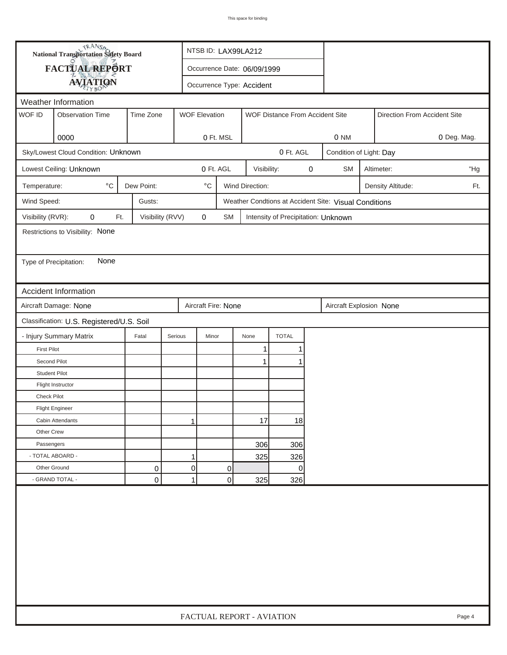| FACTUAL REPORT<br>Occurrence Date: 06/09/1999<br><b>AVIATION</b><br>Occurrence Type: Accident<br>Weather Information<br>WOF ID<br><b>Observation Time</b><br>Time Zone<br><b>WOF Elevation</b><br>WOF Distance From Accident Site<br>Direction From Accident Site<br>0000<br>0 Ft. MSL<br>0 NM<br>0 Deg. Mag.<br>0 Ft. AGL<br>Sky/Lowest Cloud Condition: Unknown<br>Condition of Light: Day<br>0 Ft. AGL<br><b>SM</b><br>Lowest Ceiling: Unknown<br>Visibility:<br>0<br>Altimeter:<br>"Hg<br>$^{\circ}$ C<br>Dew Point:<br>$^{\circ} \text{C}$<br>Wind Direction:<br>Temperature:<br>Density Altitude:<br>Ft.<br>Wind Speed:<br>Gusts:<br>Weather Condtions at Accident Site: Visual Conditions<br>Visibility (RVR):<br>0<br>Visibility (RVV)<br>0<br>Ft.<br>SM<br>Intensity of Precipitation: Unknown<br>Restrictions to Visibility: None<br>None<br>Type of Precipitation:<br>Accident Information<br>Aircraft Damage: None<br>Aircraft Fire: None<br>Aircraft Explosion None<br>Classification: U.S. Registered/U.S. Soil<br>- Injury Summary Matrix<br><b>TOTAL</b><br>Fatal<br>Serious<br>Minor<br>None<br>1<br><b>First Pilot</b><br>1<br>Second Pilot<br>1<br>1<br><b>Student Pilot</b><br>Flight Instructor<br><b>Check Pilot</b><br><b>Flight Engineer</b><br>17<br>18<br>Cabin Attendants<br>1<br>Other Crew<br>Passengers<br>306<br>306<br>- TOTAL ABOARD -<br>1<br>325<br>326<br>Other Ground<br>0<br>0<br>0<br>0 |  | <b>National Transportation Safety Board</b><br>NTSB ID: LAX99LA212 |   |                           |  |     |     |  |  |  |  |        |
|--------------------------------------------------------------------------------------------------------------------------------------------------------------------------------------------------------------------------------------------------------------------------------------------------------------------------------------------------------------------------------------------------------------------------------------------------------------------------------------------------------------------------------------------------------------------------------------------------------------------------------------------------------------------------------------------------------------------------------------------------------------------------------------------------------------------------------------------------------------------------------------------------------------------------------------------------------------------------------------------------------------------------------------------------------------------------------------------------------------------------------------------------------------------------------------------------------------------------------------------------------------------------------------------------------------------------------------------------------------------------------------------------------------------------------|--|--------------------------------------------------------------------|---|---------------------------|--|-----|-----|--|--|--|--|--------|
|                                                                                                                                                                                                                                                                                                                                                                                                                                                                                                                                                                                                                                                                                                                                                                                                                                                                                                                                                                                                                                                                                                                                                                                                                                                                                                                                                                                                                                |  |                                                                    |   |                           |  |     |     |  |  |  |  |        |
|                                                                                                                                                                                                                                                                                                                                                                                                                                                                                                                                                                                                                                                                                                                                                                                                                                                                                                                                                                                                                                                                                                                                                                                                                                                                                                                                                                                                                                |  |                                                                    |   |                           |  |     |     |  |  |  |  |        |
|                                                                                                                                                                                                                                                                                                                                                                                                                                                                                                                                                                                                                                                                                                                                                                                                                                                                                                                                                                                                                                                                                                                                                                                                                                                                                                                                                                                                                                |  |                                                                    |   |                           |  |     |     |  |  |  |  |        |
|                                                                                                                                                                                                                                                                                                                                                                                                                                                                                                                                                                                                                                                                                                                                                                                                                                                                                                                                                                                                                                                                                                                                                                                                                                                                                                                                                                                                                                |  |                                                                    |   |                           |  |     |     |  |  |  |  |        |
|                                                                                                                                                                                                                                                                                                                                                                                                                                                                                                                                                                                                                                                                                                                                                                                                                                                                                                                                                                                                                                                                                                                                                                                                                                                                                                                                                                                                                                |  |                                                                    |   |                           |  |     |     |  |  |  |  |        |
|                                                                                                                                                                                                                                                                                                                                                                                                                                                                                                                                                                                                                                                                                                                                                                                                                                                                                                                                                                                                                                                                                                                                                                                                                                                                                                                                                                                                                                |  |                                                                    |   |                           |  |     |     |  |  |  |  |        |
|                                                                                                                                                                                                                                                                                                                                                                                                                                                                                                                                                                                                                                                                                                                                                                                                                                                                                                                                                                                                                                                                                                                                                                                                                                                                                                                                                                                                                                |  |                                                                    |   |                           |  |     |     |  |  |  |  |        |
|                                                                                                                                                                                                                                                                                                                                                                                                                                                                                                                                                                                                                                                                                                                                                                                                                                                                                                                                                                                                                                                                                                                                                                                                                                                                                                                                                                                                                                |  |                                                                    |   |                           |  |     |     |  |  |  |  |        |
|                                                                                                                                                                                                                                                                                                                                                                                                                                                                                                                                                                                                                                                                                                                                                                                                                                                                                                                                                                                                                                                                                                                                                                                                                                                                                                                                                                                                                                |  |                                                                    |   |                           |  |     |     |  |  |  |  |        |
|                                                                                                                                                                                                                                                                                                                                                                                                                                                                                                                                                                                                                                                                                                                                                                                                                                                                                                                                                                                                                                                                                                                                                                                                                                                                                                                                                                                                                                |  |                                                                    |   |                           |  |     |     |  |  |  |  |        |
|                                                                                                                                                                                                                                                                                                                                                                                                                                                                                                                                                                                                                                                                                                                                                                                                                                                                                                                                                                                                                                                                                                                                                                                                                                                                                                                                                                                                                                |  |                                                                    |   |                           |  |     |     |  |  |  |  |        |
|                                                                                                                                                                                                                                                                                                                                                                                                                                                                                                                                                                                                                                                                                                                                                                                                                                                                                                                                                                                                                                                                                                                                                                                                                                                                                                                                                                                                                                |  |                                                                    |   |                           |  |     |     |  |  |  |  |        |
|                                                                                                                                                                                                                                                                                                                                                                                                                                                                                                                                                                                                                                                                                                                                                                                                                                                                                                                                                                                                                                                                                                                                                                                                                                                                                                                                                                                                                                |  |                                                                    |   |                           |  |     |     |  |  |  |  |        |
|                                                                                                                                                                                                                                                                                                                                                                                                                                                                                                                                                                                                                                                                                                                                                                                                                                                                                                                                                                                                                                                                                                                                                                                                                                                                                                                                                                                                                                |  |                                                                    |   |                           |  |     |     |  |  |  |  |        |
|                                                                                                                                                                                                                                                                                                                                                                                                                                                                                                                                                                                                                                                                                                                                                                                                                                                                                                                                                                                                                                                                                                                                                                                                                                                                                                                                                                                                                                |  |                                                                    |   |                           |  |     |     |  |  |  |  |        |
|                                                                                                                                                                                                                                                                                                                                                                                                                                                                                                                                                                                                                                                                                                                                                                                                                                                                                                                                                                                                                                                                                                                                                                                                                                                                                                                                                                                                                                |  |                                                                    |   |                           |  |     |     |  |  |  |  |        |
|                                                                                                                                                                                                                                                                                                                                                                                                                                                                                                                                                                                                                                                                                                                                                                                                                                                                                                                                                                                                                                                                                                                                                                                                                                                                                                                                                                                                                                |  |                                                                    |   |                           |  |     |     |  |  |  |  |        |
|                                                                                                                                                                                                                                                                                                                                                                                                                                                                                                                                                                                                                                                                                                                                                                                                                                                                                                                                                                                                                                                                                                                                                                                                                                                                                                                                                                                                                                |  |                                                                    |   |                           |  |     |     |  |  |  |  |        |
|                                                                                                                                                                                                                                                                                                                                                                                                                                                                                                                                                                                                                                                                                                                                                                                                                                                                                                                                                                                                                                                                                                                                                                                                                                                                                                                                                                                                                                |  |                                                                    |   |                           |  |     |     |  |  |  |  |        |
|                                                                                                                                                                                                                                                                                                                                                                                                                                                                                                                                                                                                                                                                                                                                                                                                                                                                                                                                                                                                                                                                                                                                                                                                                                                                                                                                                                                                                                |  |                                                                    |   |                           |  |     |     |  |  |  |  |        |
|                                                                                                                                                                                                                                                                                                                                                                                                                                                                                                                                                                                                                                                                                                                                                                                                                                                                                                                                                                                                                                                                                                                                                                                                                                                                                                                                                                                                                                |  |                                                                    |   |                           |  |     |     |  |  |  |  |        |
|                                                                                                                                                                                                                                                                                                                                                                                                                                                                                                                                                                                                                                                                                                                                                                                                                                                                                                                                                                                                                                                                                                                                                                                                                                                                                                                                                                                                                                |  |                                                                    |   |                           |  |     |     |  |  |  |  |        |
|                                                                                                                                                                                                                                                                                                                                                                                                                                                                                                                                                                                                                                                                                                                                                                                                                                                                                                                                                                                                                                                                                                                                                                                                                                                                                                                                                                                                                                |  |                                                                    |   |                           |  |     |     |  |  |  |  |        |
|                                                                                                                                                                                                                                                                                                                                                                                                                                                                                                                                                                                                                                                                                                                                                                                                                                                                                                                                                                                                                                                                                                                                                                                                                                                                                                                                                                                                                                |  |                                                                    |   |                           |  |     |     |  |  |  |  |        |
|                                                                                                                                                                                                                                                                                                                                                                                                                                                                                                                                                                                                                                                                                                                                                                                                                                                                                                                                                                                                                                                                                                                                                                                                                                                                                                                                                                                                                                |  |                                                                    |   |                           |  |     |     |  |  |  |  |        |
|                                                                                                                                                                                                                                                                                                                                                                                                                                                                                                                                                                                                                                                                                                                                                                                                                                                                                                                                                                                                                                                                                                                                                                                                                                                                                                                                                                                                                                |  |                                                                    |   |                           |  |     |     |  |  |  |  |        |
|                                                                                                                                                                                                                                                                                                                                                                                                                                                                                                                                                                                                                                                                                                                                                                                                                                                                                                                                                                                                                                                                                                                                                                                                                                                                                                                                                                                                                                |  |                                                                    |   |                           |  |     |     |  |  |  |  |        |
|                                                                                                                                                                                                                                                                                                                                                                                                                                                                                                                                                                                                                                                                                                                                                                                                                                                                                                                                                                                                                                                                                                                                                                                                                                                                                                                                                                                                                                |  |                                                                    |   |                           |  |     |     |  |  |  |  |        |
|                                                                                                                                                                                                                                                                                                                                                                                                                                                                                                                                                                                                                                                                                                                                                                                                                                                                                                                                                                                                                                                                                                                                                                                                                                                                                                                                                                                                                                |  |                                                                    |   |                           |  |     |     |  |  |  |  |        |
|                                                                                                                                                                                                                                                                                                                                                                                                                                                                                                                                                                                                                                                                                                                                                                                                                                                                                                                                                                                                                                                                                                                                                                                                                                                                                                                                                                                                                                |  |                                                                    |   |                           |  |     |     |  |  |  |  |        |
| - GRAND TOTAL -<br>0                                                                                                                                                                                                                                                                                                                                                                                                                                                                                                                                                                                                                                                                                                                                                                                                                                                                                                                                                                                                                                                                                                                                                                                                                                                                                                                                                                                                           |  |                                                                    | 0 | $\mathbf{1}$              |  | 325 | 326 |  |  |  |  |        |
|                                                                                                                                                                                                                                                                                                                                                                                                                                                                                                                                                                                                                                                                                                                                                                                                                                                                                                                                                                                                                                                                                                                                                                                                                                                                                                                                                                                                                                |  |                                                                    |   | FACTUAL REPORT - AVIATION |  |     |     |  |  |  |  | Page 4 |